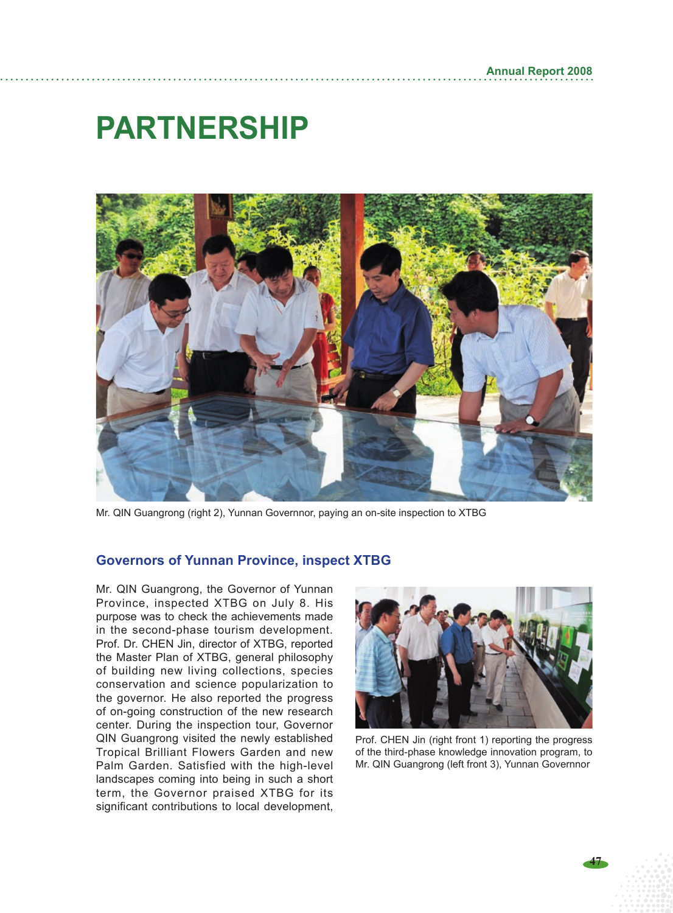# **PARTNERSHIP**



Mr. QIN Guangrong (right 2), Yunnan Governnor, paying an on-site inspection to XTBG

#### **Governors of Yunnan Province, inspect XTBG**

Mr. QIN Guangrong, the Governor of Yunnan Province, inspected XTBG on July 8. His purpose was to check the achievements made in the second-phase tourism development. Prof. Dr. CHEN Jin, director of XTBG, reported the Master Plan of XTBG, general philosophy of building new living collections, species conservation and science popularization to the governor. He also reported the progress of on-going construction of the new research center. During the inspection tour, Governor QIN Guangrong visited the newly established Tropical Brilliant Flowers Garden and new Palm Garden. Satisfied with the high-level landscapes coming into being in such a short term, the Governor praised XTBG for its significant contributions to local development,



Prof. CHEN Jin (right front 1) reporting the progress of the third-phase knowledge innovation program, to Mr. QIN Guangrong (left front 3), Yunnan Governnor

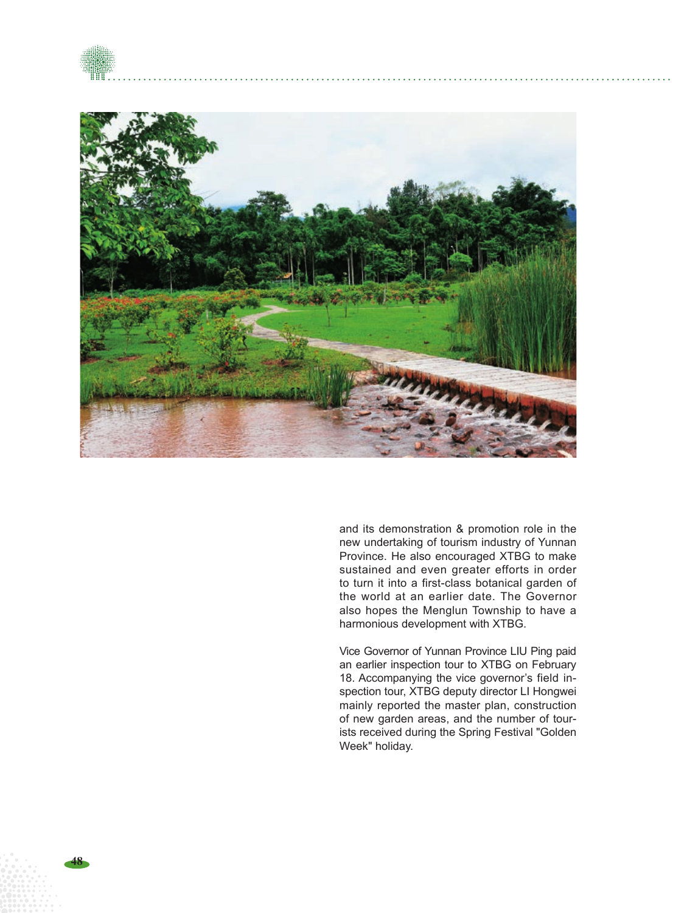



and its demonstration & promotion role in the new undertaking of tourism industry of Yunnan Province. He also encouraged XTBG to make sustained and even greater efforts in order to turn it into a first-class botanical garden of the world at an earlier date. The Governor also hopes the Menglun Township to have a harmonious development with XTBG.

Vice Governor of Yunnan Province LIU Ping paid an earlier inspection tour to XTBG on February 18. Accompanying the vice governor's field in spection tour, XTBG deputy director LI Hongwei mainly reported the master plan, construction of new garden areas, and the number of tour ists received during the Spring Festival "Golden Week" holiday.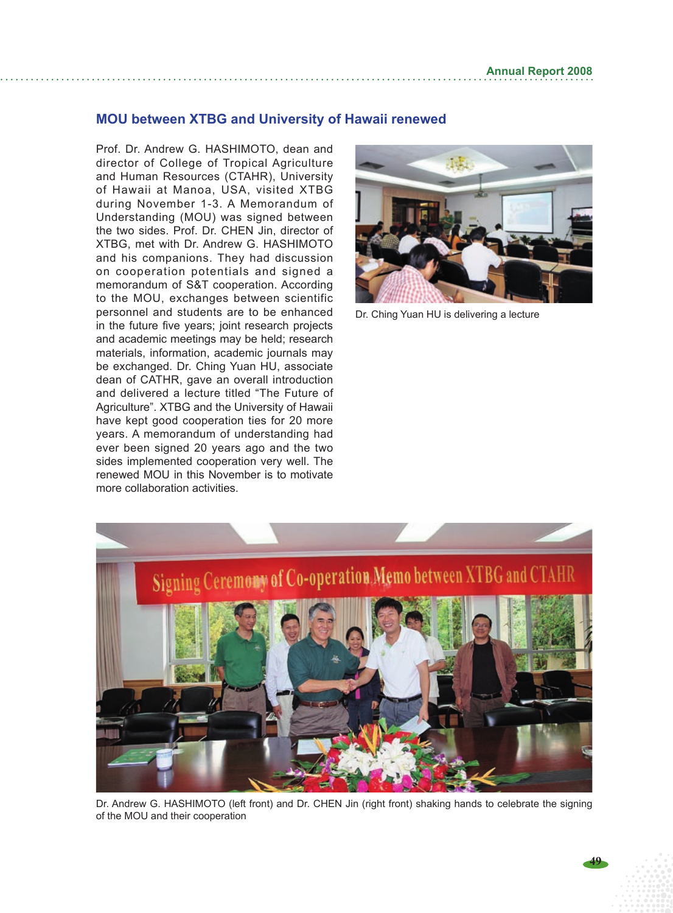#### **MOU between XTBG and University of Hawaii renewed**

Prof. Dr. Andrew G. HASHIMOTO, dean and director of College of Tropical Agriculture and Human Resources (CTAHR), University of Hawaii at Manoa, USA, visited XTBG during November 1-3. A Memorandum of Understanding (MOU) was signed between the two sides. Prof. Dr. CHEN Jin, director of XTBG, met with Dr. Andrew G. Hashimoto and his companions. They had discussion on cooperation potentials and signed a memorandum of S&T cooperation. According to the MOU, exchanges between scientific personnel and students are to be enhanced in the future five years; joint research projects and academic meetings may be held; research materials, information, academic journals may be exchanged. Dr. Ching Yuan HU, associate dean of CATHR, gave an overall introduction and delivered a lecture titled "The Future of Agriculture". XTBG and the University of Hawaii have kept good cooperation ties for 20 more years. A memorandum of understanding had ever been signed 20 years ago and the two sides implemented cooperation very well. The renewed MOU in this November is to motivate more collaboration activities.



Dr. Ching Yuan HU is delivering a lecture



Dr. Andrew G. HASHIMOTO (left front) and Dr. CHEN Jin (right front) shaking hands to celebrate the signing of the MOU and their cooperation